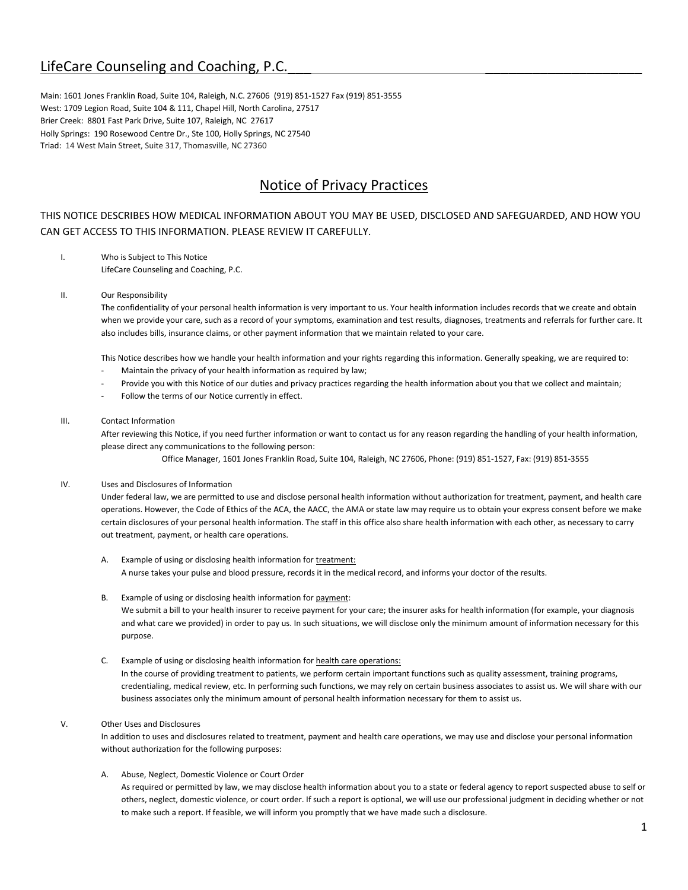# LifeCare Counseling and Coaching, P.C.

Main: 1601 Jones Franklin Road, Suite 104, Raleigh, N.C. 27606 (919) 851-1527 Fax (919) 851-3555 West: 1709 Legion Road, Suite 104 & 111, Chapel Hill, North Carolina, 27517 Brier Creek: 8801 Fast Park Drive, Suite 107, Raleigh, NC 27617 Holly Springs: 190 Rosewood Centre Dr., Ste 100, Holly Springs, NC 27540 Triad: 14 West Main Street, Suite 317, Thomasville, NC 27360

# Notice of Privacy Practices

## THIS NOTICE DESCRIBES HOW MEDICAL INFORMATION ABOUT YOU MAY BE USED, DISCLOSED AND SAFEGUARDED, AND HOW YOU CAN GET ACCESS TO THIS INFORMATION. PLEASE REVIEW IT CAREFULLY.

I. Who is Subject to This Notice LifeCare Counseling and Coaching, P.C.

## II. Our Responsibility

The confidentiality of your personal health information is very important to us. Your health information includes records that we create and obtain when we provide your care, such as a record of your symptoms, examination and test results, diagnoses, treatments and referrals for further care. It also includes bills, insurance claims, or other payment information that we maintain related to your care.

This Notice describes how we handle your health information and your rights regarding this information. Generally speaking, we are required to:

- Maintain the privacy of your health information as required by law;
- Provide you with this Notice of our duties and privacy practices regarding the health information about you that we collect and maintain;
- Follow the terms of our Notice currently in effect.

#### III. Contact Information

After reviewing this Notice, if you need further information or want to contact us for any reason regarding the handling of your health information, please direct any communications to the following person:

Office Manager, 1601 Jones Franklin Road, Suite 104, Raleigh, NC 27606, Phone: (919) 851-1527, Fax: (919) 851-3555

## IV. Uses and Disclosures of Information

Under federal law, we are permitted to use and disclose personal health information without authorization for treatment, payment, and health care operations. However, the Code of Ethics of the ACA, the AACC, the AMA or state law may require us to obtain your express consent before we make certain disclosures of your personal health information. The staff in this office also share health information with each other, as necessary to carry out treatment, payment, or health care operations.

A. Example of using or disclosing health information for treatment: A nurse takes your pulse and blood pressure, records it in the medical record, and informs your doctor of the results.

## B. Example of using or disclosing health information for payment: We submit a bill to your health insurer to receive payment for your care; the insurer asks for health information (for example, your diagnosis and what care we provided) in order to pay us. In such situations, we will disclose only the minimum amount of information necessary for this purpose.

## C. Example of using or disclosing health information for health care operations:

In the course of providing treatment to patients, we perform certain important functions such as quality assessment, training programs, credentialing, medical review, etc. In performing such functions, we may rely on certain business associates to assist us. We will share with our business associates only the minimum amount of personal health information necessary for them to assist us.

## V. Other Uses and Disclosures

In addition to uses and disclosures related to treatment, payment and health care operations, we may use and disclose your personal information without authorization for the following purposes:

## A. Abuse, Neglect, Domestic Violence or Court Order

As required or permitted by law, we may disclose health information about you to a state or federal agency to report suspected abuse to self or others, neglect, domestic violence, or court order. If such a report is optional, we will use our professional judgment in deciding whether or not to make such a report. If feasible, we will inform you promptly that we have made such a disclosure.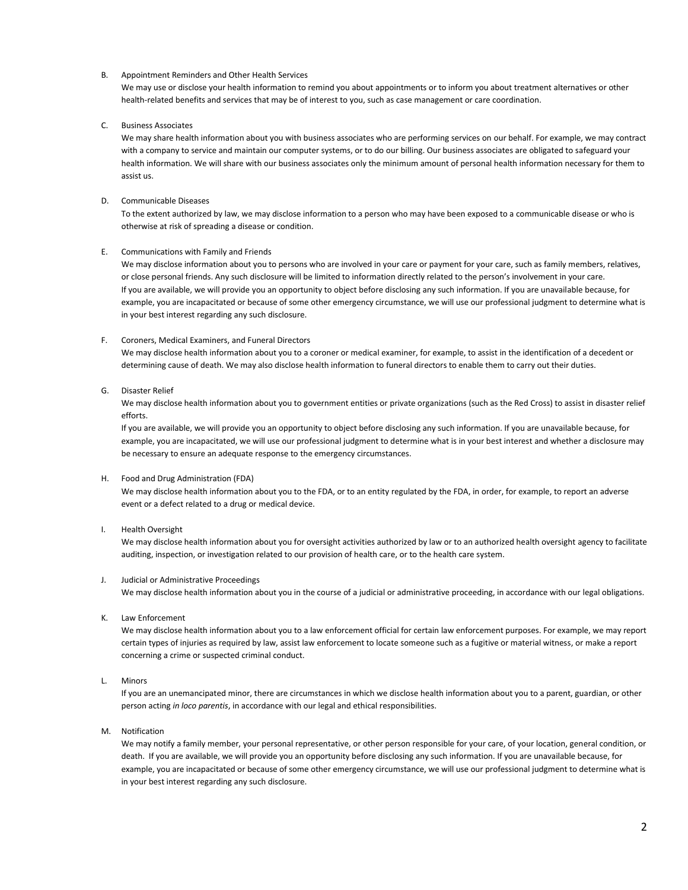#### B. Appointment Reminders and Other Health Services

We may use or disclose your health information to remind you about appointments or to inform you about treatment alternatives or other health-related benefits and services that may be of interest to you, such as case management or care coordination.

#### C. Business Associates

We may share health information about you with business associates who are performing services on our behalf. For example, we may contract with a company to service and maintain our computer systems, or to do our billing. Our business associates are obligated to safeguard your health information. We will share with our business associates only the minimum amount of personal health information necessary for them to assist us.

#### D. Communicable Diseases

To the extent authorized by law, we may disclose information to a person who may have been exposed to a communicable disease or who is otherwise at risk of spreading a disease or condition.

#### E. Communications with Family and Friends

We may disclose information about you to persons who are involved in your care or payment for your care, such as family members, relatives, or close personal friends. Any such disclosure will be limited to information directly related to the person's involvement in your care. If you are available, we will provide you an opportunity to object before disclosing any such information. If you are unavailable because, for example, you are incapacitated or because of some other emergency circumstance, we will use our professional judgment to determine what is in your best interest regarding any such disclosure.

#### F. Coroners, Medical Examiners, and Funeral Directors

We may disclose health information about you to a coroner or medical examiner, for example, to assist in the identification of a decedent or determining cause of death. We may also disclose health information to funeral directors to enable them to carry out their duties.

#### G. Disaster Relief

We may disclose health information about you to government entities or private organizations (such as the Red Cross) to assist in disaster relief efforts.

If you are available, we will provide you an opportunity to object before disclosing any such information. If you are unavailable because, for example, you are incapacitated, we will use our professional judgment to determine what is in your best interest and whether a disclosure may be necessary to ensure an adequate response to the emergency circumstances.

#### H. Food and Drug Administration (FDA)

We may disclose health information about you to the FDA, or to an entity regulated by the FDA, in order, for example, to report an adverse event or a defect related to a drug or medical device.

## I. Health Oversight

We may disclose health information about you for oversight activities authorized by law or to an authorized health oversight agency to facilitate auditing, inspection, or investigation related to our provision of health care, or to the health care system.

#### J. Judicial or Administrative Proceedings

We may disclose health information about you in the course of a judicial or administrative proceeding, in accordance with our legal obligations.

#### K. Law Enforcement

We may disclose health information about you to a law enforcement official for certain law enforcement purposes. For example, we may report certain types of injuries as required by law, assist law enforcement to locate someone such as a fugitive or material witness, or make a report concerning a crime or suspected criminal conduct.

#### L. Minors

If you are an unemancipated minor, there are circumstances in which we disclose health information about you to a parent, guardian, or other person acting *in loco parentis*, in accordance with our legal and ethical responsibilities.

M. Notification

We may notify a family member, your personal representative, or other person responsible for your care, of your location, general condition, or death. If you are available, we will provide you an opportunity before disclosing any such information. If you are unavailable because, for example, you are incapacitated or because of some other emergency circumstance, we will use our professional judgment to determine what is in your best interest regarding any such disclosure.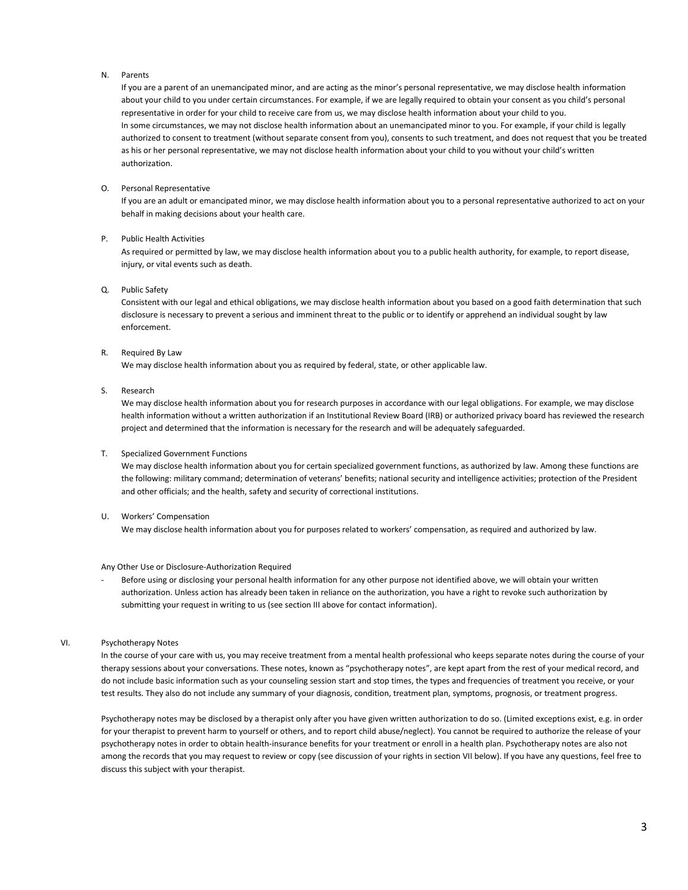#### N. Parents

If you are a parent of an unemancipated minor, and are acting as the minor's personal representative, we may disclose health information about your child to you under certain circumstances. For example, if we are legally required to obtain your consent as you child's personal representative in order for your child to receive care from us, we may disclose health information about your child to you. In some circumstances, we may not disclose health information about an unemancipated minor to you. For example, if your child is legally authorized to consent to treatment (without separate consent from you), consents to such treatment, and does not request that you be treated as his or her personal representative, we may not disclose health information about your child to you without your child's written authorization.

#### O. Personal Representative

If you are an adult or emancipated minor, we may disclose health information about you to a personal representative authorized to act on your behalf in making decisions about your health care.

#### P. Public Health Activities

As required or permitted by law, we may disclose health information about you to a public health authority, for example, to report disease, injury, or vital events such as death.

## Q. Public Safety

Consistent with our legal and ethical obligations, we may disclose health information about you based on a good faith determination that such disclosure is necessary to prevent a serious and imminent threat to the public or to identify or apprehend an individual sought by law enforcement.

#### R. Required By Law

We may disclose health information about you as required by federal, state, or other applicable law.

#### S. Research

We may disclose health information about you for research purposes in accordance with our legal obligations. For example, we may disclose health information without a written authorization if an Institutional Review Board (IRB) or authorized privacy board has reviewed the research project and determined that the information is necessary for the research and will be adequately safeguarded.

#### T. Specialized Government Functions

We may disclose health information about you for certain specialized government functions, as authorized by law. Among these functions are the following: military command; determination of veterans' benefits; national security and intelligence activities; protection of the President and other officials; and the health, safety and security of correctional institutions.

#### U. Workers' Compensation

We may disclose health information about you for purposes related to workers' compensation, as required and authorized by law.

### Any Other Use or Disclosure-Authorization Required

Before using or disclosing your personal health information for any other purpose not identified above, we will obtain your written authorization. Unless action has already been taken in reliance on the authorization, you have a right to revoke such authorization by submitting your request in writing to us (see section III above for contact information).

#### VI. Psychotherapy Notes

In the course of your care with us, you may receive treatment from a mental health professional who keeps separate notes during the course of your therapy sessions about your conversations. These notes, known as "psychotherapy notes", are kept apart from the rest of your medical record, and do not include basic information such as your counseling session start and stop times, the types and frequencies of treatment you receive, or your test results. They also do not include any summary of your diagnosis, condition, treatment plan, symptoms, prognosis, or treatment progress.

Psychotherapy notes may be disclosed by a therapist only after you have given written authorization to do so. (Limited exceptions exist, e.g. in order for your therapist to prevent harm to yourself or others, and to report child abuse/neglect). You cannot be required to authorize the release of your psychotherapy notes in order to obtain health-insurance benefits for your treatment or enroll in a health plan. Psychotherapy notes are also not among the records that you may request to review or copy (see discussion of your rights in section VII below). If you have any questions, feel free to discuss this subject with your therapist.